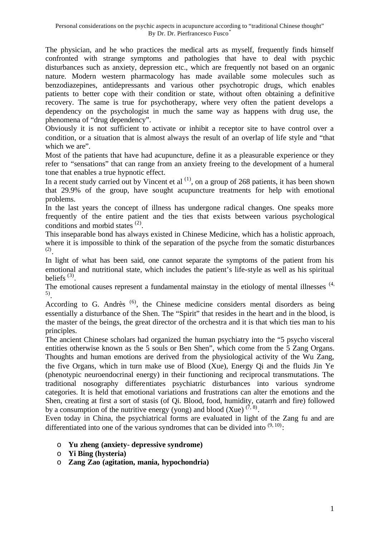The physician, and he who practices the medical arts as myself, frequently finds himself confronted with strange symptoms and pathologies that have to deal with psychic disturbances such as anxiety, depression etc., which are frequently not based on an organic nature. Modern western pharmacology has made available some molecules such as benzodiazepines, antidepressants and various other psychotropic drugs, which enables patients to better cope with their condition or state, without often obtaining a definitive recovery. The same is true for psychotherapy, where very often the patient develops a dependency on the psychologist in much the same way as happens with drug use, the phenomena of "drug dependency".

Obviously it is not sufficient to activate or inhibit a receptor site to have control over a condition, or a situation that is almost always the result of an overlap of life style and "that which we are".

Most of the patients that have had acupuncture, define it as a pleasurable experience or they refer to "sensations" that can range from an anxiety freeing to the development of a humeral tone that enables a true hypnotic effect.

In a recent study carried out by Vincent et al  $(1)$ , on a group of 268 patients, it has been shown that 29.9% of the group, have sought acupuncture treatments for help with emotional problems.

In the last years the concept of illness has undergone radical changes. One speaks more frequently of the entire patient and the ties that exists between various psychological conditions and morbid states<sup>(2)</sup>.

This inseparable bond has always existed in Chinese Medicine, which has a holistic approach, where it is impossible to think of the separation of the psyche from the somatic disturbances (2) .

In light of what has been said, one cannot separate the symptoms of the patient from his emotional and nutritional state, which includes the patient's life-style as well as his spiritual beliefs  $(3)$ .

The emotional causes represent a fundamental mainstay in the etiology of mental illnesses  $(4, 4)$ 5) .

According to G. Andrès <sup>(6)</sup>, the Chinese medicine considers mental disorders as being essentially a disturbance of the Shen. The "Spirit" that resides in the heart and in the blood, is the master of the beings, the great director of the orchestra and it is that which ties man to his principles.

The ancient Chinese scholars had organized the human psychiatry into the "5 psycho visceral entities otherwise known as the 5 souls or Ben Shen", which come from the 5 Zang Organs. Thoughts and human emotions are derived from the physiological activity of the Wu Zang, the five Organs, which in turn make use of Blood (Xue), Energy Qi and the fluids Jin Ye (phenotypic neuroendocrinal energy) in their functioning and reciprocal transmutations. The traditional nosography differentiates psychiatric disturbances into various syndrome categories. It is held that emotional variations and frustrations can alter the emotions and the Shen, creating at first a sort of stasis (of Qi. Blood, food, humidity, catarrh and fire) followed by a consumption of the nutritive energy (yong) and blood (Xue)  $(7, 8)$ .

Even today in China, the psychiatrical forms are evaluated in light of the Zang fu and are differentiated into one of the various syndromes that can be divided into  $(9, 10)$ :

#### o **Yu zheng (anxiety- depressive syndrome)**

- o **Yi Bing (hysteria)**
- o **Zang Zao (agitation, mania, hypochondria)**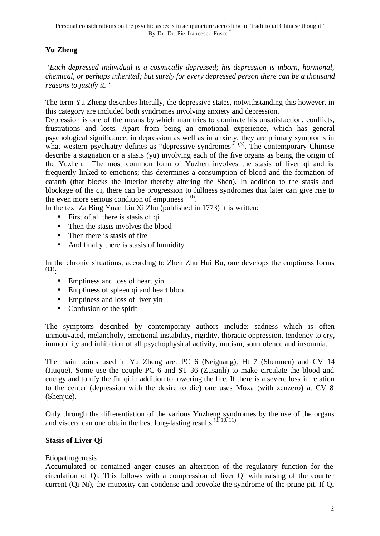# **Yu Zheng**

*"Each depressed individual is a cosmically depressed; his depression is inborn, hormonal, chemical, or perhaps inherited; but surely for every depressed person there can be a thousand reasons to justify it."*

The term Yu Zheng describes literally, the depressive states, notwithstanding this however, in this category are included both syndromes involving anxiety and depression.

Depression is one of the means by which man tries to dominate his unsatisfaction, conflicts, frustrations and losts. Apart from being an emotional experience, which has general psychological significance, in depression as well as in anxiety, they are primary symptoms in what western psychiatry defines as "depressive syndromes" <sup>(3)</sup>. The contemporary Chinese describe a stagnation or a stasis (yu) involving each of the five organs as being the origin of the Yuzhen. The most common form of Yuzhen involves the stasis of liver qi and is frequently linked to emotions; this determines a consumption of blood and the formation of catarrh (that blocks the interior thereby altering the Shen). In addition to the stasis and blockage of the qi, there can be progression to fullness syndromes that later can give rise to the even more serious condition of emptiness <sup>(10)</sup>.

In the text Za Bing Yuan Liu Xi Zhu (published in 1773) it is written:

- First of all there is stasis of qi
- Then the stasis involves the blood
- Then there is stasis of fire
- And finally there is stasis of humidity

In the chronic situations, according to Zhen Zhu Hui Bu, one develops the emptiness forms  $(11).$ 

- Emptiness and loss of heart yin
- Emptiness of spleen qi and heart blood
- Emptiness and loss of liver yin
- Confusion of the spirit

The symptoms described by contemporary authors include: sadness which is often unmotivated, melancholy, emotional instability, rigidity, thoracic oppression, tendency to cry, immobility and inhibition of all psychophysical activity, mutism, somnolence and insomnia.

The main points used in Yu Zheng are: PC 6 (Neiguang), Ht 7 (Shenmen) and CV 14 (Jiuque). Some use the couple PC 6 and ST 36 (Zusanli) to make circulate the blood and energy and tonify the Jin qi in addition to lowering the fire. If there is a severe loss in relation to the center (depression with the desire to die) one uses Moxa (with zenzero) at CV 8 (Shenjue).

Only through the differentiation of the various Yuzheng syndromes by the use of the organs and viscera can one obtain the best long-lasting results  $(\overline{\mathcal{S}}, 10, 11)$ .

#### **Stasis of Liver Qi**

#### Etiopathogenesis

Accumulated or contained anger causes an alteration of the regulatory function for the circulation of Qi. This follows with a compression of liver Qi with raising of the counter current (Qi Ni), the mucosity can condense and provoke the syndrome of the prune pit. If Qi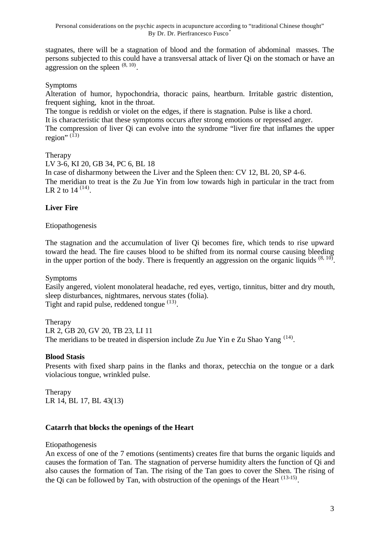stagnates, there will be a stagnation of blood and the formation of abdominal masses. The persons subjected to this could have a transversal attack of liver Qi on the stomach or have an aggression on the spleen  $(8, 10)$ .

#### Symptoms

Alteration of humor, hypochondria, thoracic pains, heartburn. Irritable gastric distention, frequent sighing, knot in the throat.

The tongue is reddish or violet on the edges, if there is stagnation. Pulse is like a chord. It is characteristic that these symptoms occurs after strong emotions or repressed anger. The compression of liver Qi can evolve into the syndrome "liver fire that inflames the upper region"  $^{(13)}$ 

#### Therapy

LV 3-6, KI 20, GB 34, PC 6, BL 18 In case of disharmony between the Liver and the Spleen then: CV 12, BL 20, SP 4-6. The meridian to treat is the Zu Jue Yin from low towards high in particular in the tract from LR 2 to 14  $(14)$ .

#### **Liver Fire**

#### Etiopathogenesis

The stagnation and the accumulation of liver Qi becomes fire, which tends to rise upward toward the head. The fire causes blood to be shifted from its normal course causing bleeding in the upper portion of the body. There is frequently an aggression on the organic liquids  $(8, 10)$ .

#### **Symptoms**

Easily angered, violent monolateral headache, red eyes, vertigo, tinnitus, bitter and dry mouth, sleep disturbances, nightmares, nervous states (folia). Tight and rapid pulse, reddened tongue <sup>(13)</sup>.

Therapy LR 2, GB 20, GV 20, TB 23, LI 11 The meridians to be treated in dispersion include Zu Jue Yin e Zu Shao Yang  $(14)$ .

#### **Blood Stasis**

Presents with fixed sharp pains in the flanks and thorax, petecchia on the tongue or a dark violacious tongue, wrinkled pulse.

Therapy LR 14, BL 17, BL 43(13)

#### **Catarrh that blocks the openings of the Heart**

#### Etiopathogenesis

An excess of one of the 7 emotions (sentiments) creates fire that burns the organic liquids and causes the formation of Tan. The stagnation of perverse humidity alters the function of Qi and also causes the formation of Tan. The rising of the Tan goes to cover the Shen. The rising of the Qi can be followed by Tan, with obstruction of the openings of the Heart  $(13-15)$ .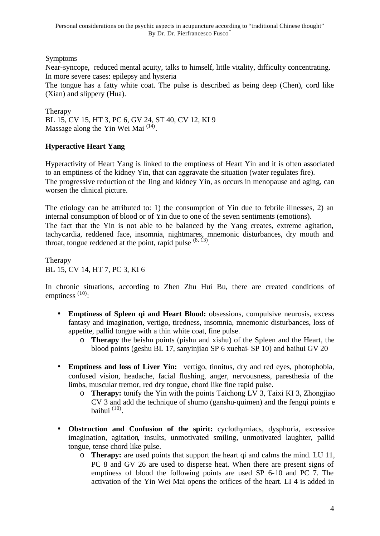Symptoms

Near-syncope, reduced mental acuity, talks to himself, little vitality, difficulty concentrating. In more severe cases: epilepsy and hysteria

The tongue has a fatty white coat. The pulse is described as being deep (Chen), cord like (Xian) and slippery (Hua).

Therapy BL 15, CV 15, HT 3, PC 6, GV 24, ST 40, CV 12, KI 9 Massage along the Yin Wei Mai  $<sup>(14)</sup>$ .</sup>

### **Hyperactive Heart Yang**

Hyperactivity of Heart Yang is linked to the emptiness of Heart Yin and it is often associated to an emptiness of the kidney Yin, that can aggravate the situation (water regulates fire). The progressive reduction of the Jing and kidney Yin, as occurs in menopause and aging, can worsen the clinical picture.

The etiology can be attributed to: 1) the consumption of Yin due to febrile illnesses, 2) an internal consumption of blood or of Yin due to one of the seven sentiments (emotions). The fact that the Yin is not able to be balanced by the Yang creates, extreme agitation, tachycardia, reddened face, insomnia, nightmares, mnemonic disturbances, dry mouth and throat, tongue reddened at the point, rapid pulse  $(8, 13)$ .

Therapy BL 15, CV 14, HT 7, PC 3, KI 6

In chronic situations, according to Zhen Zhu Hui Bu, there are created conditions of emptiness  $^{(10)}$ :

- **Emptiness of Spleen qi and Heart Blood:** obsessions, compulsive neurosis, excess fantasy and imagination, vertigo, tiredness, insomnia, mnemonic disturbances, loss of appetite, pallid tongue with a thin white coat, fine pulse.
	- o **Therapy** the beishu points (pishu and xishu) of the Spleen and the Heart, the blood points (geshu BL 17, sanyinjiao SP 6 xuehai- SP 10) and baihui GV 20
- **Emptiness and loss of Liver Yin:** vertigo, tinnitus, dry and red eyes, photophobia, confused vision, headache, facial flushing, anger, nervousness, paresthesia of the limbs, muscular tremor, red dry tongue, chord like fine rapid pulse.
	- o **Therapy:** tonify the Yin with the points Taichong LV 3, Taixi KI 3, Zhongjiao CV 3 and add the technique of shumo (ganshu-quimen) and the fengqi points e baihui <sup>(10)</sup>.
- **Obstruction and Confusion of the spirit:** cyclothymiacs, dysphoria, excessive imagination, agitation, insults, unmotivated smiling, unmotivated laughter, pallid tongue, tense chord like pulse.
	- o **Therapy:** are used points that support the heart qi and calms the mind. LU 11, PC 8 and GV 26 are used to disperse heat. When there are present signs of emptiness of blood the following points are used SP 6-10 and PC 7. The activation of the Yin Wei Mai opens the orifices of the heart. LI 4 is added in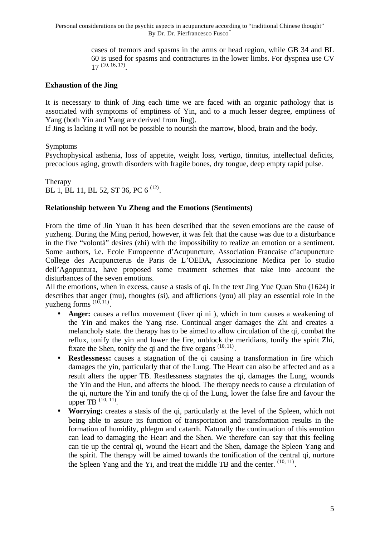Personal considerations on the psychic aspects in acupuncture according to "traditional Chinese thought" By Dr. Dr. Pierfrancesco Fusco<sup>\*</sup>

> cases of tremors and spasms in the arms or head region, while GB 34 and BL 60 is used for spasms and contractures in the lower limbs. For dyspnea use CV 17 (10, 16, 17) .

#### **Exhaustion of the Jing**

It is necessary to think of Jing each time we are faced with an organic pathology that is associated with symptoms of emptiness of Yin, and to a much lesser degree, emptiness of Yang (both Yin and Yang are derived from Jing).

If Jing is lacking it will not be possible to nourish the marrow, blood, brain and the body.

Symptoms

Psychophysical asthenia, loss of appetite, weight loss, vertigo, tinnitus, intellectual deficits, precocious aging, growth disorders with fragile bones, dry tongue, deep empty rapid pulse.

**Therapy** BL 1, BL 11, BL 52, ST 36, PC 6<sup>(12)</sup>.

#### **Relationship between Yu Zheng and the Emotions (Sentiments)**

From the time of Jin Yuan it has been described that the seven emotions are the cause of yuzheng. During the Ming period, however, it was felt that the cause was due to a disturbance in the five "volontà" desires (zhi) with the impossibility to realize an emotion or a sentiment. Some authors, i.e. Ecole Europeenne d'Acupuncture, Association Francaise d'acupuncture College des Acupuncterus de Paris de L'OEDA, Associazione Medica per lo studio dell'Agopuntura, have proposed some treatment schemes that take into account the disturbances of the seven emotions.

All the emotions, when in excess, cause a stasis of qi. In the text Jing Yue Quan Shu (1624) it describes that anger (mu), thoughts (si), and afflictions (you) all play an essential role in the yuzheng forms  $(10, 11)$ .

- **Anger:** causes a reflux movement (liver qi ni ), which in turn causes a weakening of the Yin and makes the Yang rise. Continual anger damages the Zhi and creates a melancholy state. the therapy has to be aimed to allow circulation of the qi, combat the reflux, tonify the yin and lower the fire, unblock the meridians, tonify the spirit Zhi, fixate the Shen, tonify the qi and the five organs  $(10, 11)$ .
- **Restlessness:** causes a stagnation of the qi causing a transformation in fire which damages the yin, particularly that of the Lung. The Heart can also be affected and as a result alters the upper TB. Restlessness stagnates the qi, damages the Lung, wounds the Yin and the Hun, and affects the blood. The therapy needs to cause a circulation of the qi, nurture the Yin and tonify the qi of the Lung, lower the false fire and favour the upper TB  $(10, 11)$ .
- **Worrying:** creates a stasis of the qi, particularly at the level of the Spleen, which not being able to assure its function of transportation and transformation results in the formation of humidity, phlegm and catarrh. Naturally the continuation of this emotion can lead to damaging the Heart and the Shen. We therefore can say that this feeling can tie up the central qi, wound the Heart and the Shen, damage the Spleen Yang and the spirit. The therapy will be aimed towards the tonification of the central qi, nurture the Spleen Yang and the Yi, and treat the middle TB and the center.  $(10, 11)$ .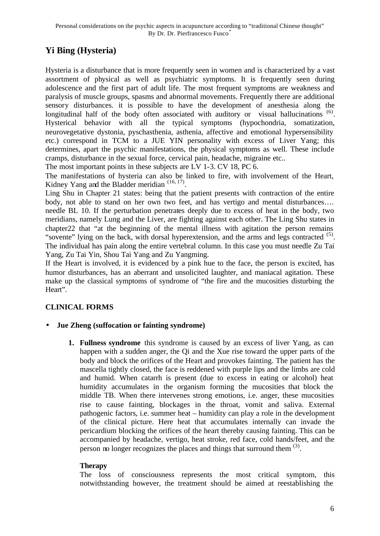# **Yi Bing (Hysteria)**

Hysteria is a disturbance that is more frequently seen in women and is characterized by a vast assortment of physical as well as psychiatric symptoms. It is frequently seen during adolescence and the first part of adult life. The most frequent symptoms are weakness and paralysis of muscle groups, spasms and abnormal movements. Frequently there are additional sensory disturbances. it is possible to have the development of anesthesia along the longitudinal half of the body often associated with auditory or visual hallucinations  $(6)$ . Hysterical behavior with all the typical symptoms (hypochondria, somatization, neurovegetative dystonia, pyschasthenia, asthenia, affective and emotional hypersensibility etc.) correspond in TCM to a JUE YIN personality with excess of Liver Yang; this determines, apart the psychic manifestations, the physical symptoms as well. These include cramps, disturbance in the sexual force, cervical pain, headache, migraine etc..

The most important points in these subjects are LV 1-3. CV 18, PC 6.

The manifestations of hysteria can also be linked to fire, with involvement of the Heart, Kidney Yang and the Bladder meridian  $(16, 17)$ .

Ling Shu in Chapter 21 states: being that the patient presents with contraction of the entire body, not able to stand on her own two feet, and has vertigo and mental disturbances…. needle BL 10. If the perturbation penetrates deeply due to excess of heat in the body, two meridians, namely Lung and the Liver, are fighting against each other. The Ling Shu states in chapter22 that "at the beginning of the mental illness with agitation the person remains "sovente" lying on the back, with dorsal hyperextension, and the arms and legs contracted <sup>(5)</sup>. The individual has pain along the entire vertebral column. In this case you must needle Zu Tai Yang, Zu Tai Yin, Shou Tai Yang and Zu Yangming.

If the Heart is involved, it is evidenced by a pink hue to the face, the person is excited, has humor disturbances, has an aberrant and unsolicited laughter, and maniacal agitation. These make up the classical symptoms of syndrome of "the fire and the mucosities disturbing the Heart".

# **CLINICAL FORMS**

- **Jue Zheng (suffocation or fainting syndrome)**
	- **1. Fullness syndrome** this syndrome is caused by an excess of liver Yang, as can happen with a sudden anger, the Qi and the Xue rise toward the upper parts of the body and block the orifices of the Heart and provokes fainting. The patient has the mascella tightly closed, the face is reddened with purple lips and the limbs are cold and humid. When catarrh is present (due to excess in eating or alcohol) heat humidity accumulates in the organism forming the mucosities that block the middle TB. When there intervenes strong emotions, i.e. anger, these mucosities rise to cause fainting, blockages in the throat, vomit and saliva. External pathogenic factors, i.e. summer heat – humidity can play a role in the development of the clinical picture. Here heat that accumulates internally can invade the pericardium blocking the orifices of the heart thereby causing fainting. This can be accompanied by headache, vertigo, heat stroke, red face, cold hands/feet, and the person no longer recognizes the places and things that surround them  $(3)$ .

# **Therapy**

The loss of consciousness represents the most critical symptom, this notwithstanding however, the treatment should be aimed at reestablishing the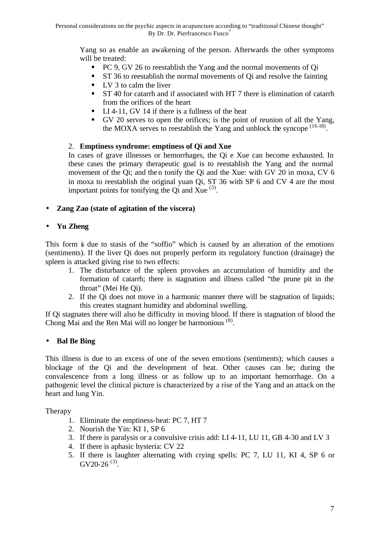Yang so as enable an awakening of the person. Afterwards the other symptoms will be treated:

- **PC 9, GV 26 to reestablish the Yang and the normal movements of Qi**
- **ST** 36 to reestablish the normal movements of Qi and resolve the fainting
- $\blacksquare$  LV 3 to calm the liver
- **ST** 40 for catarrh and if associated with HT 7 there is elimination of catarrh from the orifices of the heart
- $\blacksquare$  LI 4-11, GV 14 if there is a fullness of the heat
- GV 20 serves to open the orifices; is the point of reunion of all the Yang, the MOXA serves to reestablish the Yang and unblock the syncope  $(16-18)$ .

#### 2. **Emptiness syndrome: emptiness of Qi and Xue**

In cases of grave illnesses or hemorrhages, the Qi e Xue can become exhausted. In these cases the primary therapeutic goal is to reestablish the Yang and the normal movement of the Qi; and then tonify the Qi and the Xue: with GV 20 in moxa, CV 6 in moxa to reestablish the original yuan Qi, ST 36 with SP 6 and CV 4 are the most important points for tonifying the  $Q$ i and Xue  $^{(3)}$ .

#### • **Zang Zao (state of agitation of the viscera)**

#### • **Yu Zheng**

This form is due to stasis of the "soffio" which is caused by an alteration of the emotions (sentiments). If the liver Qi does not properly perform its regulatory function (drainage) the spleen is attacked giving rise to two effects:

- 1. The disturbance of the spleen provokes an accumulation of humidity and the formation of catarrh; there is stagnation and illness called "the prune pit in the throat" (Mei He Qi).
- 2. If the Qi does not move in a harmonic manner there will be stagnation of liquids; this creates stagnant humidity and abdominal swelling.

If Qi stagnates there will also be difficulty in moving blood. If there is stagnation of blood the Chong Mai and the Ren Mai will no longer be harmonious (8).

#### • **Bal Be Bing**

This illness is due to an excess of one of the seven emotions (sentiments); which causes a blockage of the Qi and the development of heat. Other causes can be; during the convalescence from a long illness or as follow up to an important hemorrhage. On a pathogenic level the clinical picture is characterized by a rise of the Yang and an attack on the heart and lung Yin.

Therapy

- 1. Eliminate the emptiness-heat: PC 7, HT 7
- 2. Nourish the Yin: KI 1, SP 6
- 3. If there is paralysis or a convulsive crisis add: LI 4-11, LU 11, GB 4-30 and LV 3
- 4. If there is aphasic hysteria: CV 22
- 5. If there is laughter alternating with crying spells: PC 7, LU 11, KI 4, SP 6 or GV20-26 $^{(3)}$ .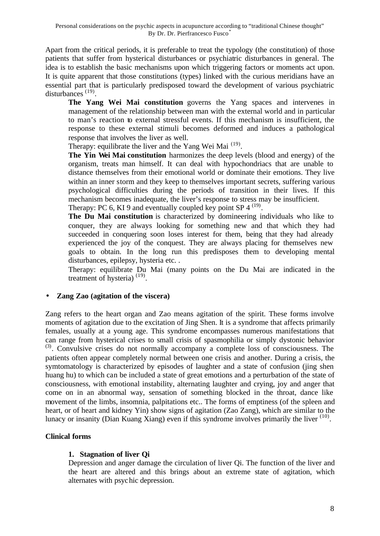Apart from the critical periods, it is preferable to treat the typology (the constitution) of those patients that suffer from hysterical disturbances or psychiatric disturbances in general. The idea is to establish the basic mechanisms upon which triggering factors or moments act upon. It is quite apparent that those constitutions (types) linked with the curious meridians have an essential part that is particularly predisposed toward the development of various psychiatric disturbances<sup>(19)</sup>.

**The Yang Wei Mai constitution** governs the Yang spaces and intervenes in management of the relationship between man with the external world and in particular to man's reaction to external stressful events. If this mechanism is insufficient, the response to these external stimuli becomes deformed and induces a pathological response that involves the liver as well.

Therapy: equilibrate the liver and the Yang Wei Mai<sup>(19)</sup>.

**The Yin Wei Mai constitution** harmonizes the deep levels (blood and energy) of the organism, treats man himself. It can deal with hypochondriacs that are unable to distance themselves from their emotional world or dominate their emotions. They live within an inner storm and they keep to themselves important secrets, suffering various psychological difficulties during the periods of transition in their lives. If this mechanism becomes inadequate, the liver's response to stress may be insufficient. Therapy: PC 6, KI 9 and eventually coupled key point SP  $4^{(19)}$ .

**The Du Mai constitution** is characterized by domineering individuals who like to conquer, they are always looking for something new and that which they had succeeded in conquering soon loses interest for them, being that they had already experienced the joy of the conquest. They are always placing for themselves new goals to obtain. In the long run this predisposes them to developing mental disturbances, epilepsy, hysteria etc. .

Therapy: equilibrate Du Mai (many points on the Du Mai are indicated in the treatment of hysteria)  $^{(19)}$ .

#### • **Zang Zao (agitation of the viscera)**

Zang refers to the heart organ and Zao means agitation of the spirit. These forms involve moments of agitation due to the excitation of Jing Shen. It is a syndrome that affects primarily females, usually at a young age. This syndrome encompasses numerous manifestations that can range from hysterical crises to small crisis of spasmophilia or simply dystonic behavior  $<sup>(3)</sup>$ . Convulsive crises do not normally accompany a complete loss of consciousness. The</sup> patients often appear completely normal between one crisis and another. During a crisis, the symtomatology is characterized by episodes of laughter and a state of confusion (jing shen huang hu) to which can be included a state of great emotions and a perturbation of the state of consciousness, with emotional instability, alternating laughter and crying, joy and anger that come on in an abnormal way, sensation of something blocked in the throat, dance like movement of the limbs, insomnia, palpitations etc.. The forms of emptiness (of the spleen and heart, or of heart and kidney Yin) show signs of agitation (Zao Zang), which are similar to the lunacy or insanity (Dian Kuang Xiang) even if this syndrome involves primarily the liver <sup>(10)</sup>.

#### **Clinical forms**

# **1. Stagnation of liver Qi**

Depression and anger damage the circulation of liver Qi. The function of the liver and the heart are altered and this brings about an extreme state of agitation, which alternates with psychic depression.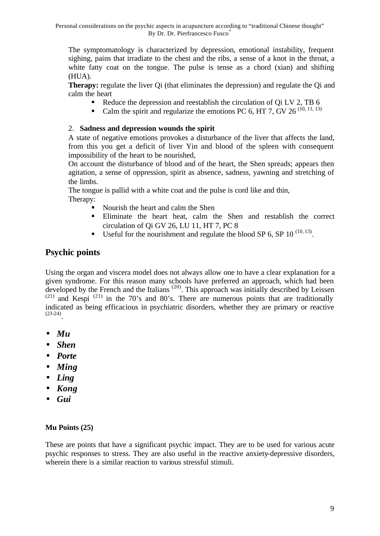The symptomatology is characterized by depression, emotional instability, frequent sighing, pains that irradiate to the chest and the ribs, a sense of a knot in the throat, a white fatty coat on the tongue. The pulse is tense as a chord (xian) and shifting (HUA).

**Therapy:** regulate the liver Qi (that eliminates the depression) and regulate the Qi and calm the heart

- Reduce the depression and reestablish the circulation of Qi LV 2, TB  $6$
- Calm the spirit and regularize the emotions PC 6, HT 7,  $\tilde{G}V$  26<sup>(10, 11, 13)</sup>

#### 2. **Sadness and depression wounds the spirit**

A state of negative emotions provokes a disturbance of the liver that affects the land, from this you get a deficit of liver Yin and blood of the spleen with consequent impossibility of the heart to be nourished,

On account the disturbance of blood and of the heart, the Shen spreads; appears then agitation, a sense of oppression, spirit as absence, sadness, yawning and stretching of the limbs.

The tongue is pallid with a white coat and the pulse is cord like and thin, Therapy:

- ß Nourish the heart and calm the Shen
- ß Eliminate the heart heat, calm the Shen and restablish the correct circulation of Qi GV 26, LU 11, HT 7, PC 8
- Useful for the nourishment and regulate the blood SP 6, SP  $10^{(10, 13)}$ .

# **Psychic points**

Using the organ and viscera model does not always allow one to have a clear explanation for a given syndrome. For this reason many schools have preferred an approach, which had been developed by the French and the Italians<sup> $(20)$ </sup>. This approach was initially described by Leissen  $(21)$  and Kespi  $(21)$  in the 70's and 80's. There are numerous points that are traditionally indicated as being efficacious in psychiatric disorders, whether they are primary or reactive  $(23-24)$ .

- *Mu*
- *Shen*
- *Porte*
- *Ming*
- *Ling*
- *Kong*
- 
- *Gui*

#### **Mu Points (25)**

These are points that have a significant psychic impact. They are to be used for various acute psychic responses to stress. They are also useful in the reactive anxiety-depressive disorders, wherein there is a similar reaction to various stressful stimuli.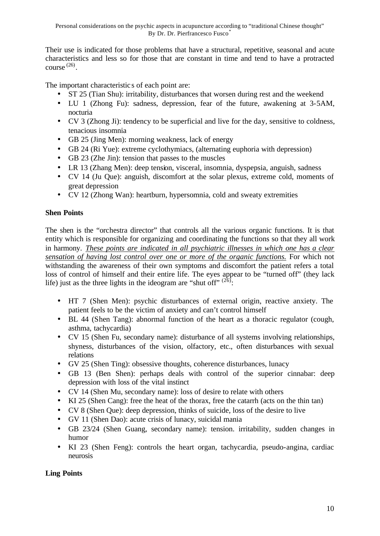Their use is indicated for those problems that have a structural, repetitive, seasonal and acute characteristics and less so for those that are constant in time and tend to have a protracted course (26) .

The important characteristic s of each point are:

- ST 25 (Tian Shu): irritability, disturbances that worsen during rest and the weekend
- LU 1 (Zhong Fu): sadness, depression, fear of the future, awakening at 3-5AM, nocturia
- CV 3 (Zhong Ji): tendency to be superficial and live for the day, sensitive to coldness, tenacious insomnia
- GB 25 (Jing Men): morning weakness, lack of energy
- GB 24 (Ri Yue): extreme cyclothymiacs, (alternating euphoria with depression)
- GB 23 (Zhe Jin): tension that passes to the muscles
- LR 13 (Zhang Men): deep tension, visceral, insomnia, dyspepsia, anguish, sadness
- CV 14 (Ju Que): anguish, discomfort at the solar plexus, extreme cold, moments of great depression
- CV 12 (Zhong Wan): heartburn, hypersomnia, cold and sweaty extremities

#### **Shen Points**

The shen is the "orchestra director" that controls all the various organic functions. It is that entity which is responsible for organizing and coordinating the functions so that they all work in harmony. *These points are indicated in all psychiatric illnesses in which one has a clear sensation of having lost control over one or more of the organic functions.* For which not withstanding the awareness of their own symptoms and discomfort the patient refers a total loss of control of himself and their entire life. The eyes appear to be "turned off" (they lack life) just as the three lights in the ideogram are "shut off"  $(26)$ :

- HT 7 (Shen Men): psychic disturbances of external origin, reactive anxiety. The patient feels to be the victim of anxiety and can't control himself
- BL 44 (Shen Tang): abnormal function of the heart as a thoracic regulator (cough, asthma, tachycardia)
- CV 15 (Shen Fu, secondary name): disturbance of all systems involving relationships, shyness, disturbances of the vision, olfactory, etc., often disturbances with sexual relations
- GV 25 (Shen Ting): obsessive thoughts, coherence disturbances, lunacy
- GB 13 (Ben Shen): perhaps deals with control of the superior cinnabar: deep depression with loss of the vital instinct
- CV 14 (Shen Mu, secondary name): loss of desire to relate with others
- KI 25 (Shen Cang): free the heat of the thorax, free the catarrh (acts on the thin tan)
- CV 8 (Shen Que): deep depression, thinks of suicide, loss of the desire to live
- GV 11 (Shen Dao): acute crisis of lunacy, suicidal mania
- GB 23/24 (Shen Guang, secondary name): tension. irritability, sudden changes in humor
- KI 23 (Shen Feng): controls the heart organ, tachycardia, pseudo-angina, cardiac neurosis

# **Ling Points**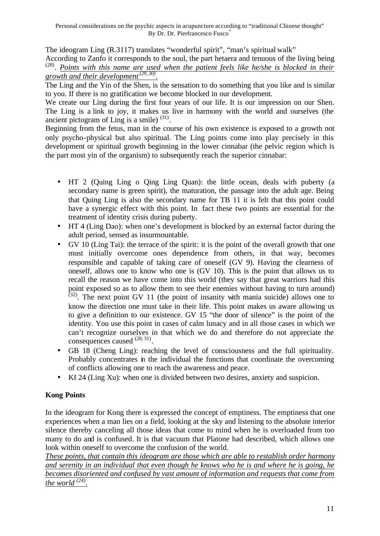The ideogram Ling (R.3117) translates "wonderful spirit", "man's spiritual walk"

According to Zanfo it corresponds to the soul, the part hetaera and tenuous of the living being (28) . *Points with this name are used when the patient feels like he/she is blocked in their growth and their development (29, 30) .*

The Ling and the Yin of the Shen, is the sensation to do something that you like and is similar to you. If there is no gratification we become blocked in our development.

We create our Ling during the first four years of our life. It is our impression on our Shen. The Ling is a link to joy, it makes us live in harmony with the world and ourselves (the ancient pictogram of Ling is a smile)  $(31)$ .

Beginning from the fetus, man in the course of his own existence is exposed to a growth not only psycho-physical but also spiritual. The Ling points come into play precisely in this development or spiritual growth beginning in the lower cinnabar (the pelvic region which is the part most yin of the organism) to subsequently reach the superior cinnabar:

- HT 2 (Quing Ling o Qing Ling Quan): the little ocean, deals with puberty (a secondary name is green spirit), the maturation, the passage into the adult age. Being that Quing Ling is also the secondary name for TB 11 it is felt that this point could have a synergic effect with this point. In fact these two points are essential for the treatment of identity crisis during puberty.
- HT 4 (Ling Dao): when one's development is blocked by an external factor during the adult period, sensed as insurmountable.
- GV 10 (Ling Tai): the terrace of the spirit: it is the point of the overall growth that one must initially overcome ones dependence from others, in that way, becomes responsible and capable of taking care of oneself (GV 9). Having the clearness of oneself, allows one to know who one is (GV 10). This is the point that allows us to recall the reason we have come into this world (they say that great warriors had this point exposed so as to allow them to see their enemies without having to turn around)  $(32)$ . The next point GV 11 (the point of insanity with mania suicide) allows one to know the direction one must take in their life. This point makes us aware allowing us to give a definition to our existence. GV 15 "the door of silence" is the point of the identity. You use this point in cases of calm lunacy and in all those cases in which we can't recognize ourselves in that which we do and therefore do not appreciate the consequences caused  $^{(28, 31)}$ .
- GB 18 (Cheng Ling): reaching the level of consciousness and the full spirituality. Probably concentrates in the individual the functions that coordinate the overcoming of conflicts allowing one to reach the awareness and peace.
- KI 24 (Ling Xu): when one is divided between two desires, anxiety and suspicion.

# **Kong Points**

In the ideogram for Kong there is expressed the concept of emptiness. The emptiness that one experiences when a man lies on a field, looking at the sky and listening to the absolute interior silence thereby canceling all those ideas that come to mind when he is overloaded from too many to do and is confused. It is that vacuum that Platone had described, which allows one look within oneself to overcome the confusion of the world.

*These points, that contain this ideogram are those which are able to restablish order harmony and serenity in an individual that even though he knows who he is and where he is going, he becomes disoriented and confused by vast amount of information and requests that come from the world (24) .*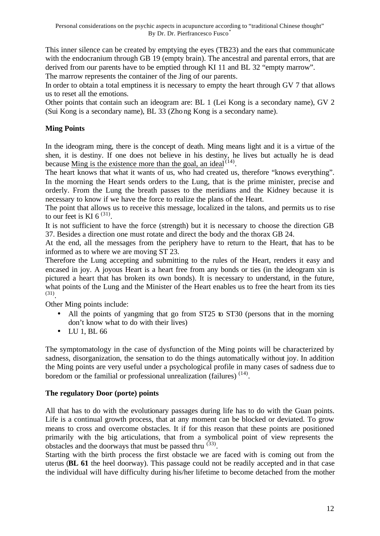This inner silence can be created by emptying the eyes (TB23) and the ears that communicate with the endocranium through GB 19 (empty brain). The ancestral and parental errors, that are derived from our parents have to be emptied through KI 11 and BL 32 "empty marrow". The marrow represents the container of the Jing of our parents.

In order to obtain a total emptiness it is necessary to empty the heart through GV 7 that allows us to reset all the emotions.

Other points that contain such an ideogram are: BL 1 (Lei Kong is a secondary name), GV 2 (Sui Kong is a secondary name), BL 33 (Zhong Kong is a secondary name).

### **Ming Points**

In the ideogram ming, there is the concept of death. Ming means light and it is a virtue of the shen, it is destiny. If one does not believe in his destiny, he lives but actually he is dead because Ming is the existence more than the goal, an ideal  $^{(14)}$ .

The heart knows that what it wants of us, who had created us, therefore "knows everything". In the morning the Heart sends orders to the Lung, that is the prime minister, precise and orderly. From the Lung the breath passes to the meridians and the Kidney because it is necessary to know if we have the force to realize the plans of the Heart.

The point that allows us to receive this message, localized in the talons, and permits us to rise to our feet is KI 6<sup> $(31)$ </sup>.

It is not sufficient to have the force (strength) but it is necessary to choose the direction GB 37. Besides a direction one must rotate and direct the body and the thorax GB 24.

At the end, all the messages from the periphery have to return to the Heart, that has to be informed as to where we are moving ST 23.

Therefore the Lung accepting and submitting to the rules of the Heart, renders it easy and encased in joy. A joyous Heart is a heart free from any bonds or ties (in the ideogram xin is pictured a heart that has broken its own bonds). It is necessary to understand, in the future, what points of the Lung and the Minister of the Heart enables us to free the heart from its ties (31) .

Other Ming points include:

- All the points of yangming that go from ST25 to ST30 (persons that in the morning don't know what to do with their lives)
- LU 1, BL 66

The symptomatology in the case of dysfunction of the Ming points will be characterized by sadness, disorganization, the sensation to do the things automatically without joy. In addition the Ming points are very useful under a psychological profile in many cases of sadness due to boredom or the familial or professional unrealization (failures)  $(14)$ .

#### **The regulatory Door (porte) points**

All that has to do with the evolutionary passages during life has to do with the Guan points. Life is a continual growth process, that at any moment can be blocked or deviated. To grow means to cross and overcome obstacles. It if for this reason that these points are positioned primarily with the big articulations, that from a symbolical point of view represents the obstacles and the doorways that must be passed thru  $(33)$ .

Starting with the birth process the first obstacle we are faced with is coming out from the uterus (**BL 61** the heel doorway). This passage could not be readily accepted and in that case the individual will have difficulty during his/her lifetime to become detached from the mother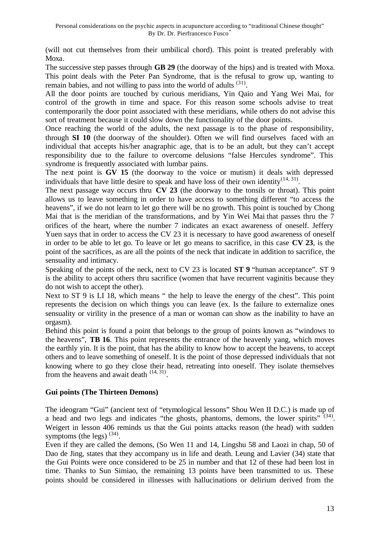(will not cut themselves from their umbilical chord). This point is treated preferably with Moxa.

The successive step passes through **GB 29** (the doorway of the hips) and is treated with Moxa. This point deals with the Peter Pan Syndrome, that is the refusal to grow up, wanting to remain babies, and not willing to pass into the world of adults  $(31)$ .

All the door points are touched by curious meridians, Yin Qaio and Yang Wei Mai, for control of the growth in time and space. For this reason some schools advise to treat contemporarily the door point associated with these meridians, while others do not advise this sort of treatment because it could slow down the functionality of the door points.

Once reaching the world of the adults, the next passage is to the phase of responsibility, through **SI 10** (the doorway of the shoulder). Often we will find ourselves faced with an individual that accepts his/her anagraphic age, that is to be an adult, but they can't accept responsibility due to the failure to overcome delusions "false Hercules syndrome". This syndrome is frequently associated with lumbar pains.

The next point is **GV 15** (the doorway to the voice or mutism) it deals with depressed individuals that have little desire to speak and have loss of their own identity  $(14, 31)$ .

The next passage way occurs thru **CV 23** (the doorway to the tonsils or throat). This point allows us to leave something in order to have access to something different "to access the heavens", if we do not learn to let go there will be no growth. This point is touched by Chong Mai that is the meridian of the transformations, and by Yin Wei Mai that passes thru the 7 orifices of the heart, where the number 7 indicates an exact awareness of oneself. Jeffery Yuen says that in order to access the CV 23 it is necessary to have good awareness of oneself in order to be able to let go. To leave or let go means to sacrifice, in this case **CV 23**, is the point of the sacrifices, as are all the points of the neck that indicate in addition to sacrifice, the sensuality and intimacy.

Speaking of the points of the neck, next to CV 23 is located **ST 9** "human acceptance". ST 9 is the ability to accept others thru sacrifice (women that have recurrent vaginitis because they do not wish to accept the other).

Next to ST 9 is LI 18, which means " the help to leave the energy of the chest". This point represents the decision on which things you can leave (ex. Is the failure to externalize ones sensuality or virility in the presence of a man or woman can show as the inability to have an orgasm).

Behind this point is found a point that belongs to the group of points known as "windows to the heavens", **TB 16**. This point represents the entrance of the heavenly yang, which moves the earthly yin. It is the point, that has the ability to know how to accept the heavens, to accept others and to leave something of oneself. It is the point of those depressed individuals that not knowing where to go they close their head, retreating into oneself. They isolate themselves from the heavens and await death  $(14, 31)$ .

#### **Gui points (The Thirteen Demons)**

The ideogram "Gui" (ancient text of "etymological lessons" Shou Wen II D.C.) is made up of a head and two legs and indicates "the ghosts, phantoms, demons, the lower spirits"  $(34)$ . Weigert in lesson 406 reminds us that the Gui points attacks reason (the head) with sudden symptoms (the legs)  $(34)$ .

Even if they are called the demons, (So Wen 11 and 14, Lingshu 58 and Laozi in chap, 50 of Dao de Jing, states that they accompany us in life and death. Leung and Lavier (34) state that the Gui Points were once considered to be 25 in number and that 12 of these had been lost in time. Thanks to Sun Simiao, the remaining 13 points have been transmitted to us. These points should be considered in illnesses with hallucinations or delirium derived from the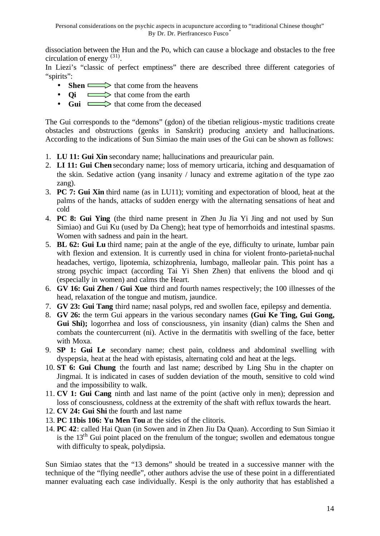dissociation between the Hun and the Po, which can cause a blockage and obstacles to the free circulation of energy  $(31)$ .

In Liezi's "classic of perfect emptiness" there are described three different categories of "spirits":

- **Shen**  $\longrightarrow$  that come from the heavens
- **Qi**  $\qquad \qquad \implies$  that come from the earth
- $\bullet$  **Gui**  $\longrightarrow$  that come from the deceased

The Gui corresponds to the "demons" (gdon) of the tibetian religious-mystic traditions create obstacles and obstructions (genks in Sanskrit) producing anxiety and hallucinations. According to the indications of Sun Simiao the main uses of the Gui can be shown as follows:

- 1. **LU 11: Gui Xin** secondary name; hallucinations and preauricular pain.
- 2. **LI 11: Gui Chen** secondary name; loss of memory urticaria, itching and desquamation of the skin. Sedative action (yang insanity / lunacy and extreme agitation of the type zao zang).
- 3. **PC 7: Gui Xin** third name (as in LU11); vomiting and expectoration of blood, heat at the palms of the hands, attacks of sudden energy with the alternating sensations of heat and cold
- 4. **PC 8: Gui Ying** (the third name present in Zhen Ju Jia Yi Jing and not used by Sun Simiao) and Gui Ku (used by Da Cheng); heat type of hemorrhoids and intestinal spasms. Women with sadness and pain in the heart.
- 5. **BL 62: Gui Lu** third name; pain at the angle of the eye, difficulty to urinate, lumbar pain with flexion and extension. It is currently used in china for violent fronto-parietal-nuchal headaches, vertigo, lipotemia, schizophrenia, lumbago, malleolar pain. This point has a strong psychic impact (according Tai Yi Shen Zhen) that enlivens the blood and qi (especially in women) and calms the Heart.
- 6. **GV 16: Gui Zhen / Gui Xue** third and fourth names respectively; the 100 illnesses of the head, relaxation of the tongue and mutism, jaundice.
- 7. **GV 23: Gui Tang** third name; nasal polyps, red and swollen face, epilepsy and dementia.
- 8. **GV 26:** the term Gui appears in the various secondary names **(Gui Ke Ting, Gui Gong, Gui Shi);** logorrhea and loss of consciousness, yin insanity (dian) calms the Shen and combats the countercurrent (ni). Active in the dermatitis with swelling of the face, better with Moxa.
- 9. **SP 1: Gui Le** secondary name; chest pain, coldness and abdominal swelling with dyspepsia, heat at the head with epistasis, alternating cold and heat at the legs.
- 10. **ST 6: Gui Chung** the fourth and last name; described by Ling Shu in the chapter on Jingmai. It is indicated in cases of sudden deviation of the mouth, sensitive to cold wind and the impossibility to walk.
- 11. **CV 1: Gui Cang** ninth and last name of the point (active only in men); depression and loss of consciousness, coldness at the extremity of the shaft with reflux towards the heart.
- 12. **CV 24: Gui Shi** the fourth and last name
- 13. **PC 11bis 106: Yu Men Tou** at the sides of the clitoris.
- 14. **PC 42**: called Hai Quan (in Sowen and in Zhen Jiu Da Quan). According to Sun Simiao it is the 13<sup>th</sup> Gui point placed on the frenulum of the tongue; swollen and edematous tongue with difficulty to speak, polydipsia.

Sun Simiao states that the "13 demons" should be treated in a successive manner with the technique of the "flying needle", other authors advise the use of these point in a differentiated manner evaluating each case individually. Kespì is the only authority that has established a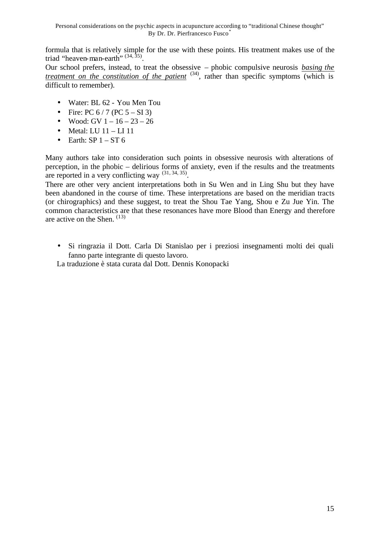formula that is relatively simple for the use with these points. His treatment makes use of the triad "heaven-man-earth"<sup>(34,35)</sup>.

Our school prefers, instead, to treat the obsessive – phobic compulsive neurosis *basing the treatment on the constitution of the patient* <sup>(34)</sup>, rather than specific symptoms (which is difficult to remember).

- Water: BL 62 You Men Tou
- Fire: PC  $6/7$  (PC  $5 SI$  3)
- Wood: GV  $1 16 23 26$
- Metal: LU  $11 L111$
- Earth:  $SP 1 ST 6$

Many authors take into consideration such points in obsessive neurosis with alterations of perception, in the phobic – delirious forms of anxiety, even if the results and the treatments are reported in a very conflicting way  $(31, 34, 35)$ .

There are other very ancient interpretations both in Su Wen and in Ling Shu but they have been abandoned in the course of time. These interpretations are based on the meridian tracts (or chirographics) and these suggest, to treat the Shou Tae Yang, Shou e Zu Jue Yin. The common characteristics are that these resonances have more Blood than Energy and therefore are active on the Shen.  $(13)$ 

• Si ringrazia il Dott. Carla Di Stanislao per i preziosi insegnamenti molti dei quali fanno parte integrante di questo lavoro.

La traduzione è stata curata dal Dott. Dennis Konopacki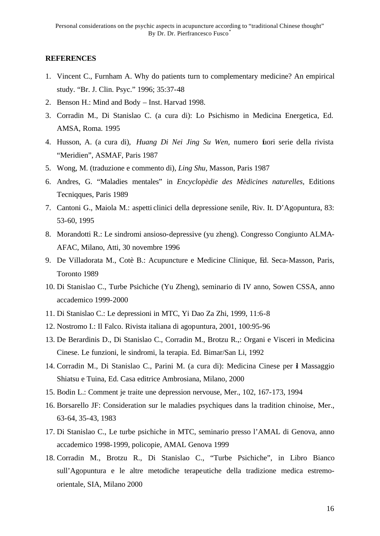#### **REFERENCES**

- 1. Vincent C., Furnham A. Why do patients turn to complementary medicine? An empirical study. "Br. J. Clin. Psyc." 1996; 35:37-48
- 2. Benson H.: Mind and Body Inst. Harvad 1998.
- 3. Corradin M., Di Stanislao C. (a cura di): Lo Psichismo in Medicina Energetica, Ed. AMSA, Roma. 1995
- 4. Husson, A. (a cura di), *Huang Di Nei Jing Su Wen,* numero fuori serie della rivista "Meridien", ASMAF, Paris 1987
- 5. Wong, M. (traduzione e commento di), *Ling Shu,* Masson, Paris 1987
- 6. Andres, G. "Maladies mentales" in *Encyclopèdie des Mèdicines naturelles,* Editions Tecniqques, Paris 1989
- 7. Cantoni G., Maiola M.: aspetti clinici della depressione senile, Riv. It. D'Agopuntura, 83: 53-60, 1995
- 8. Morandotti R.: Le sindromi ansioso-depressive (yu zheng). Congresso Congiunto ALMA-AFAC, Milano, Atti, 30 novembre 1996
- 9. De Villadorata M., Cotè B.: Acupuncture e Medicine Clinique, Ed. Seca-Masson, Paris, Toronto 1989
- 10. Di Stanislao C., Turbe Psichiche (Yu Zheng), seminario di IV anno, Sowen CSSA, anno accademico 1999-2000
- 11. Di Stanislao C.: Le depressioni in MTC, Yi Dao Za Zhi, 1999, 11:6-8
- 12. Nostromo I.: Il Falco. Rivista italiana di agopuntura, 2001, 100:95-96
- 13. De Berardinis D., Di Stanislao C., Corradin M., Brotzu R.,: Organi e Visceri in Medicina Cinese. Le funzioni, le sindromi, la terapia. Ed. Bimar/San Li, 1992
- 14. Corradin M., Di Stanislao C., Parini M. (a cura di): Medicina Cinese per il Massaggio Shiatsu e Tuina, Ed. Casa editrice Ambrosiana, Milano, 2000
- 15. Bodin L.: Comment je traite une depression nervouse, Mer., 102, 167-173, 1994
- 16. Borsarello JF: Consideration sur le maladies psychiques dans la tradition chinoise, Mer., 63-64, 35-43, 1983
- 17. Di Stanislao C., Le turbe psichiche in MTC, seminario presso l'AMAL di Genova, anno accademico 1998-1999, policopie, AMAL Genova 1999
- 18. Corradin M., Brotzu R., Di Stanislao C., "Turbe Psichiche", in Libro Bianco sull'Agopuntura e le altre metodiche terapeutiche della tradizione medica estremoorientale, SIA, Milano 2000